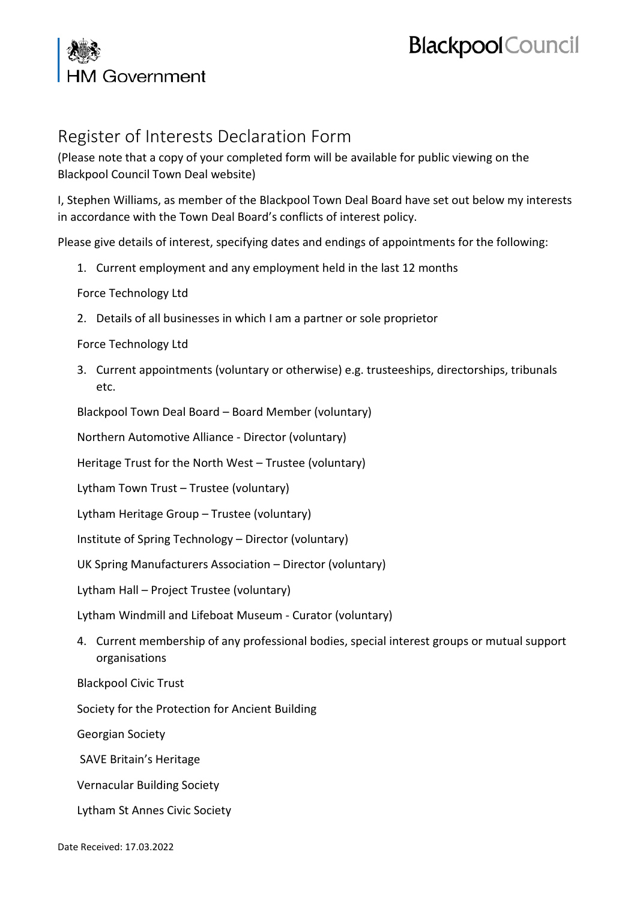## I Government

## **Blackpool** Council

## Register of Interests Declaration Form

(Please note that a copy of your completed form will be available for public viewing on the Blackpool Council Town Deal website)

I, Stephen Williams, as member of the Blackpool Town Deal Board have set out below my interests in accordance with the Town Deal Board's conflicts of interest policy.

Please give details of interest, specifying dates and endings of appointments for the following:

1. Current employment and any employment held in the last 12 months

Force Technology Ltd

2. Details of all businesses in which I am a partner or sole proprietor

Force Technology Ltd

3. Current appointments (voluntary or otherwise) e.g. trusteeships, directorships, tribunals etc.

Blackpool Town Deal Board – Board Member (voluntary)

Northern Automotive Alliance - Director (voluntary)

Heritage Trust for the North West – Trustee (voluntary)

Lytham Town Trust – Trustee (voluntary)

Lytham Heritage Group – Trustee (voluntary)

Institute of Spring Technology – Director (voluntary)

UK Spring Manufacturers Association – Director (voluntary)

Lytham Hall – Project Trustee (voluntary)

Lytham Windmill and Lifeboat Museum - Curator (voluntary)

4. Current membership of any professional bodies, special interest groups or mutual support organisations

Blackpool Civic Trust

Society for the Protection for Ancient Building

Georgian Society

SAVE Britain's Heritage

Vernacular Building Society

Lytham St Annes Civic Society